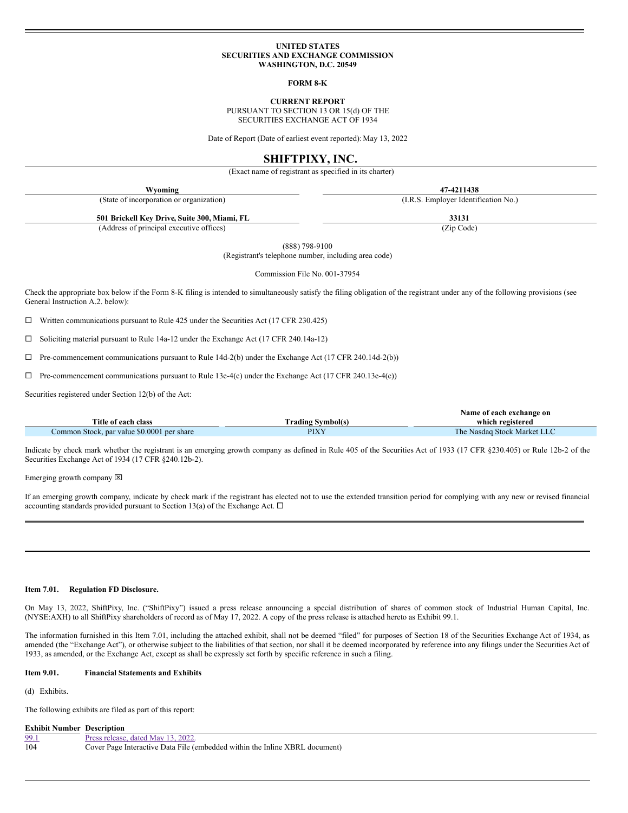#### **UNITED STATES SECURITIES AND EXCHANGE COMMISSION WASHINGTON, D.C. 20549**

**FORM 8-K**

**CURRENT REPORT**

PURSUANT TO SECTION 13 OR 15(d) OF THE SECURITIES EXCHANGE ACT OF 1934

Date of Report (Date of earliest event reported): May 13, 2022

## **SHIFTPIXY, INC.**

(Exact name of registrant as specified in its charter)

| Wyoming                                      | 47-4211438                           |
|----------------------------------------------|--------------------------------------|
| (State of incorporation or organization)     | (I.R.S. Employer Identification No.) |
| 501 Brickell Key Drive, Suite 300, Miami, FL | 33131                                |
| (Address of principal executive offices)     | (Zip Code)                           |

(888) 798-9100

(Registrant's telephone number, including area code)

Commission File No. 001-37954

Check the appropriate box below if the Form 8-K filing is intended to simultaneously satisfy the filing obligation of the registrant under any of the following provisions (see General Instruction A.2. below):

 $\Box$  Written communications pursuant to Rule 425 under the Securities Act (17 CFR 230.425)

¨ Soliciting material pursuant to Rule 14a-12 under the Exchange Act (17 CFR 240.14a-12)

 $\Box$  Pre-commencement communications pursuant to Rule 14d-2(b) under the Exchange Act (17 CFR 240.14d-2(b))

 $\Box$  Pre-commencement communications pursuant to Rule 13e-4(c) under the Exchange Act (17 CFR 240.13e-4(c))

Securities registered under Section 12(b) of the Act:

|                                            |                   | Name of each exchange on    |
|--------------------------------------------|-------------------|-----------------------------|
| Title of each class                        | Frading Symbol(s) | which registered            |
| Common Stock, par value \$0.0001 per share | PIXY              | The Nasdag Stock Market LLC |

Indicate by check mark whether the registrant is an emerging growth company as defined in Rule 405 of the Securities Act of 1933 (17 CFR §230.405) or Rule 12b-2 of the Securities Exchange Act of 1934 (17 CFR §240.12b-2).

Emerging growth company  $[**X**]$ 

If an emerging growth company, indicate by check mark if the registrant has elected not to use the extended transition period for complying with any new or revised financial accounting standards provided pursuant to Section 13(a) of the Exchange Act.  $\Box$ 

#### **Item 7.01. Regulation FD Disclosure.**

On May 13, 2022, ShiftPixy, Inc. ("ShiftPixy") issued a press release announcing a special distribution of shares of common stock of Industrial Human Capital, Inc. (NYSE:AXH) to all ShiftPixy shareholders of record as of May 17, 2022. A copy of the press release is attached hereto as Exhibit 99.1.

The information furnished in this Item 7.01, including the attached exhibit, shall not be deemed "filed" for purposes of Section 18 of the Securities Exchange Act of 1934, as amended (the "Exchange Act"), or otherwise subject to the liabilities of that section, nor shall it be deemed incorporated by reference into any filings under the Securities Act of 1933, as amended, or the Exchange Act, except as shall be expressly set forth by specific reference in such a filing.

## **Item 9.01. Financial Statements and Exhibits**

(d) Exhibits.

The following exhibits are filed as part of this report:

**Exhibit Number Description**

| 99.1 | Press release, dated May 13, 2022.                                          |
|------|-----------------------------------------------------------------------------|
| 104  | Cover Page Interactive Data File (embedded within the Inline XBRL document) |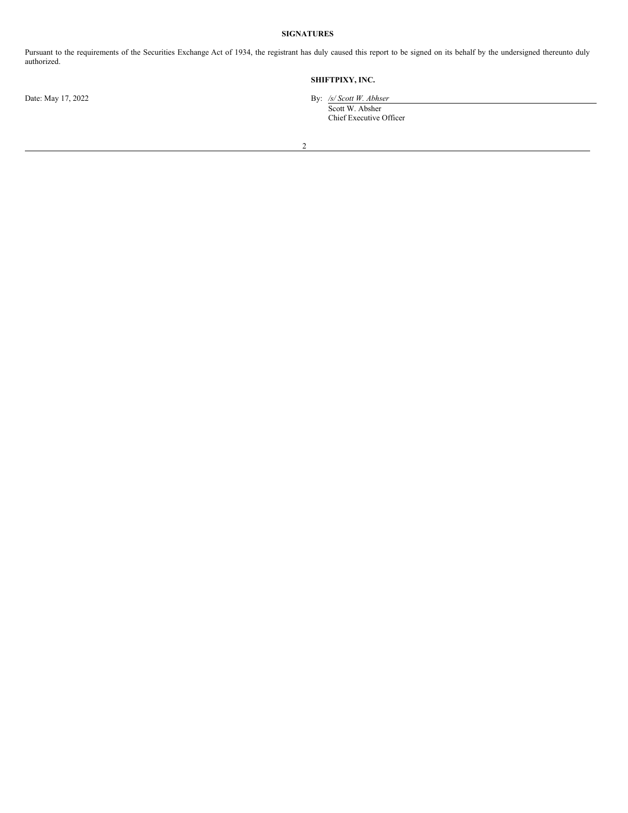# **SIGNATURES**

Pursuant to the requirements of the Securities Exchange Act of 1934, the registrant has duly caused this report to be signed on its behalf by the undersigned thereunto duly authorized.

# **SHIFTPIXY, INC.**

Date: May 17, 2022 By: */s/ Scott W. Abhser* Scott W. Absher

Chief Executive Officer